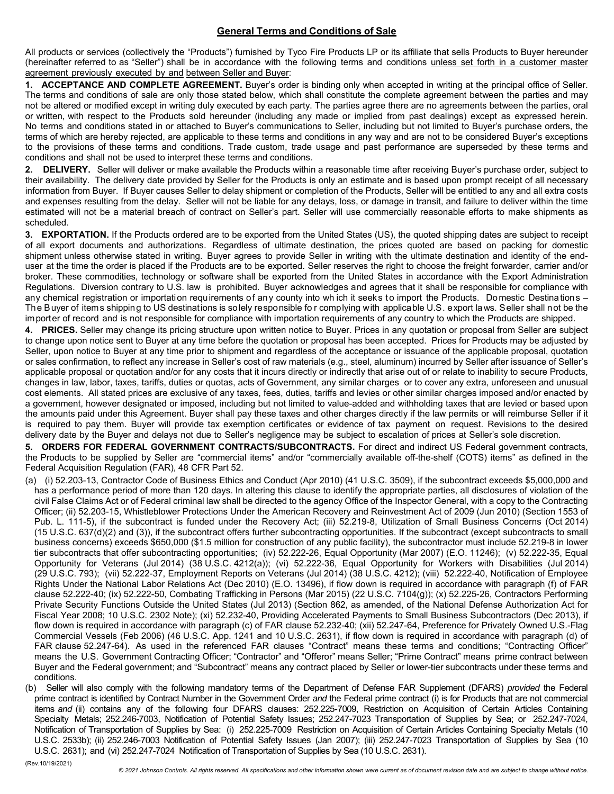## **General Terms and Conditions of Sale**

All products or services (collectively the "Products") furnished by Tyco Fire Products LP or its affiliate that sells Products to Buyer hereunder (hereinafter referred to as "Seller") shall be in accordance with the following terms and conditions unless set forth in a customer master agreement previously executed by and between Seller and Buyer:

**1. ACCEPTANCE AND COMPLETE AGREEMENT.** Buyer's order is binding only when accepted in writing at the principal office of Seller. The terms and conditions of sale are only those stated below, which shall constitute the complete agreement between the parties and may not be altered or modified except in writing duly executed by each party. The parties agree there are no agreements between the parties, oral or written, with respect to the Products sold hereunder (including any made or implied from past dealings) except as expressed herein. No terms and conditions stated in or attached to Buyer's communications to Seller, including but not limited to Buyer's purchase orders, the terms of which are hereby rejected, are applicable to these terms and conditions in any way and are not to be considered Buyer's exceptions to the provisions of these terms and conditions. Trade custom, trade usage and past performance are superseded by these terms and conditions and shall not be used to interpret these terms and conditions.

**2. DELIVERY.** Seller will deliver or make available the Products within a reasonable time after receiving Buyer's purchase order, subject to their availability. The delivery date provided by Seller for the Products is only an estimate and is based upon prompt receipt of all necessary information from Buyer. If Buyer causes Seller to delay shipment or completion of the Products, Seller will be entitled to any and all extra costs and expenses resulting from the delay. Seller will not be liable for any delays, loss, or damage in transit, and failure to deliver within the time estimated will not be a material breach of contract on Seller's part. Seller will use commercially reasonable efforts to make shipments as scheduled.

**3. EXPORTATION.** If the Products ordered are to be exported from the United States (US), the quoted shipping dates are subject to receipt of all export documents and authorizations. Regardless of ultimate destination, the prices quoted are based on packing for domestic shipment unless otherwise stated in writing. Buyer agrees to provide Seller in writing with the ultimate destination and identity of the enduser at the time the order is placed if the Products are to be exported. Seller reserves the right to choose the freight forwarder, carrier and/or broker. These commodities, technology or software shall be exported from the United States in accordance with the Export Administration Regulations. Diversion contrary to U.S. law is prohibited. Buyer acknowledges and agrees that it shall be responsible for compliance with any chemical registration or importation requirements of any county into wh ich it seeks to import the Products. Domestic Destinations – The Buyer of items shipping to US destinations is solely responsible fo r complying with applicable U.S. export laws. Seller shall not be the importer of record and is not responsible for compliance with importation requirements of any country to which the Products are shipped.

**4. PRICES.** Seller may change its pricing structure upon written notice to Buyer. Prices in any quotation or proposal from Seller are subject to change upon notice sent to Buyer at any time before the quotation or proposal has been accepted. Prices for Products may be adjusted by Seller, upon notice to Buyer at any time prior to shipment and regardless of the acceptance or issuance of the applicable proposal, quotation or sales confirmation, to reflect any increase in Seller's cost of raw materials (e.g., steel, aluminum) incurred by Seller after issuance of Seller's applicable proposal or quotation and/or for any costs that it incurs directly or indirectly that arise out of or relate to inability to secure Products, changes in law, labor, taxes, tariffs, duties or quotas, acts of Government, any similar charges or to cover any extra, unforeseen and unusual cost elements. All stated prices are exclusive of any taxes, fees, duties, tariffs and levies or other similar charges imposed and/or enacted by a government, however designated or imposed, including but not limited to value-added and withholding taxes that are levied or based upon the amounts paid under this Agreement. Buyer shall pay these taxes and other charges directly if the law permits or will reimburse Seller if it is required to pay them. Buyer will provide tax exemption certificates or evidence of tax payment on request. Revisions to the desired delivery date by the Buyer and delays not due to Seller's negligence may be subject to escalation of prices at Seller's sole discretion.

**5. ORDERS FOR FEDERAL GOVERNMENT CONTRACTS/SUBCONTRACTS.** For direct and indirect US Federal government contracts, the Products to be supplied by Seller are "commercial items" and/or "commercially available off-the-shelf (COTS) items" as defined in the Federal Acquisition Regulation (FAR), 48 CFR Part 52.

- (a) (i) 52.203-13, Contractor Code of Business Ethics and Conduct (Apr 2010) (41 U.S.C. 3509), if the subcontract exceeds \$5,000,000 and has a performance period of more than 120 days. In altering this clause to identify the appropriate parties, all disclosures of violation of the civil False Claims Act or of Federal criminal law shall be directed to the agency Office of the Inspector General, with a copy to the Contracting Officer; (ii) 52.203-15, Whistleblower Protections Under the American Recovery and Reinvestment Act of 2009 (Jun 2010) (Section 1553 of Pub. L. 111-5), if the subcontract is funded under the Recovery Act; (iii) 52.219-8, Utilization of Small Business Concerns (Oct 2014) (15 U.S.C. 637(d)(2) and (3)), if the subcontract offers further subcontracting opportunities. If the subcontract (except subcontracts to small business concerns) exceeds \$650,000 (\$1.5 million for construction of any public facility), the subcontractor must include 52.219-8 in lower tier subcontracts that offer subcontracting opportunities; (iv) 52.222-26, Equal Opportunity (Mar 2007) (E.O. 11246); (v) 52.222-35, Equal Opportunity for Veterans (Jul 2014) (38 U.S.C. 4212(a)); (vi) 52.222-36, Equal Opportunity for Workers with Disabilities (Jul 2014) (29 U.S.C. 793); (vii) 52.222-37, Employment Reports on Veterans (Jul 2014) (38 U.S.C. 4212); (viii) 52.222-40, Notification of Employee Rights Under the National Labor Relations Act (Dec 2010) (E.O. 13496), if flow down is required in accordance with paragraph (f) of FAR clause 52.222-40; (ix) 52.222-50, Combating Trafficking in Persons (Mar 2015) (22 U.S.C. 7104(g)); (x) 52.225-26, Contractors Performing Private Security Functions Outside the United States (Jul 2013) (Section 862, as amended, of the National Defense Authorization Act for Fiscal Year 2008; 10 U.S.C. 2302 Note); (xi) 52.232-40, Providing Accelerated Payments to Small Business Subcontractors (Dec 2013), if flow down is required in accordance with paragraph (c) of FAR clause 52.232-40; (xii) 52.247-64, Preference for Privately Owned U.S.-Flag Commercial Vessels (Feb 2006) (46 U.S.C. App. 1241 and 10 U.S.C. 2631), if flow down is required in accordance with paragraph (d) of FAR clause 52.247-64). As used in the referenced FAR clauses "Contract" means these terms and conditions; "Contracting Officer" means the U.S. Government Contracting Officer; "Contractor" and "Offeror" means Seller; "Prime Contract" means prime contract between Buyer and the Federal government; and "Subcontract" means any contract placed by Seller or lower-tier subcontracts under these terms and conditions.
- (b) Seller will also comply with the following mandatory terms of the Department of Defense FAR Supplement (DFARS) *provided* the Federal prime contract is identified by Contract Number in the Government Order *and* the Federal prime contract (i) is for Products that are not commercial items *and* (ii) contains any of the following four DFARS clauses: 252.225-7009, Restriction on Acquisition of Certain Articles Containing Specialty Metals; 252.246-7003, Notification of Potential Safety Issues; 252.247-7023 Transportation of Supplies by Sea; or 252.247-7024, Notification of Transportation of Supplies by Sea: (i) 252.225-7009 Restriction on Acquisition of Certain Articles Containing Specialty Metals (10 U.S.C. 2533b); (ii) 252.246-7003 Notification of Potential Safety Issues (Jan 2007); (iii) 252.247-7023 Transportation of Supplies by Sea (10 U.S.C. 2631); and (vi) 252.247-7024 Notification of Transportation of Supplies by Sea (10 U.S.C. 2631).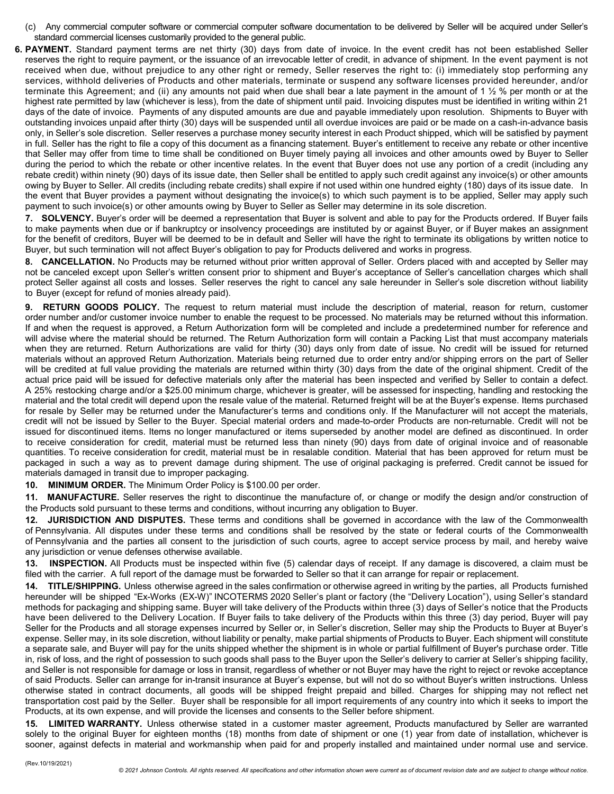- (c) Any commercial computer software or commercial computer software documentation to be delivered by Seller will be acquired under Seller's standard commercial licenses customarily provided to the general public.
- **6. PAYMENT.** Standard payment terms are net thirty (30) days from date of invoice. In the event credit has not been established Seller reserves the right to require payment, or the issuance of an irrevocable letter of credit, in advance of shipment. In the event payment is not received when due, without prejudice to any other right or remedy, Seller reserves the right to: (i) immediately stop performing any services, withhold deliveries of Products and other materials, terminate or suspend any software licenses provided hereunder, and/or terminate this Agreement; and (ii) any amounts not paid when due shall bear a late payment in the amount of 1 ½ % per month or at the highest rate permitted by law (whichever is less), from the date of shipment until paid. Invoicing disputes must be identified in writing within 21 days of the date of invoice. Payments of any disputed amounts are due and payable immediately upon resolution. Shipments to Buyer with outstanding invoices unpaid after thirty (30) days will be suspended until all overdue invoices are paid or be made on a cash-in-advance basis only, in Seller's sole discretion. Seller reserves a purchase money security interest in each Product shipped, which will be satisfied by payment in full. Seller has the right to file a copy of this document as a financing statement. Buyer's entitlement to receive any rebate or other incentive that Seller may offer from time to time shall be conditioned on Buyer timely paying all invoices and other amounts owed by Buyer to Seller during the period to which the rebate or other incentive relates. In the event that Buyer does not use any portion of a credit (including any rebate credit) within ninety (90) days of its issue date, then Seller shall be entitled to apply such credit against any invoice(s) or other amounts owing by Buyer to Seller. All credits (including rebate credits) shall expire if not used within one hundred eighty (180) days of its issue date. In the event that Buyer provides a payment without designating the invoice(s) to which such payment is to be applied, Seller may apply such payment to such invoice(s) or other amounts owing by Buyer to Seller as Seller may determine in its sole discretion.

**7. SOLVENCY.** Buyer's order will be deemed a representation that Buyer is solvent and able to pay for the Products ordered. If Buyer fails to make payments when due or if bankruptcy or insolvency proceedings are instituted by or against Buyer, or if Buyer makes an assignment for the benefit of creditors, Buyer will be deemed to be in default and Seller will have the right to terminate its obligations by written notice to Buyer, but such termination will not affect Buyer's obligation to pay for Products delivered and works in progress.

**8. CANCELLATION.** No Products may be returned without prior written approval of Seller. Orders placed with and accepted by Seller may not be canceled except upon Seller's written consent prior to shipment and Buyer's acceptance of Seller's cancellation charges which shall protect Seller against all costs and losses. Seller reserves the right to cancel any sale hereunder in Seller's sole discretion without liability to Buyer (except for refund of monies already paid).

**9. RETURN GOODS POLICY.** The request to return material must include the description of material, reason for return, customer order number and/or customer invoice number to enable the request to be processed. No materials may be returned without this information. If and when the request is approved, a Return Authorization form will be completed and include a predetermined number for reference and will advise where the material should be returned. The Return Authorization form will contain a Packing List that must accompany materials when they are returned. Return Authorizations are valid for thirty (30) days only from date of issue. No credit will be issued for returned materials without an approved Return Authorization. Materials being returned due to order entry and/or shipping errors on the part of Seller will be credited at full value providing the materials are returned within thirty (30) days from the date of the original shipment. Credit of the actual price paid will be issued for defective materials only after the material has been inspected and verified by Seller to contain a defect. A 25% restocking charge and/or a \$25.00 minimum charge, whichever is greater, will be assessed for inspecting, handling and restocking the material and the total credit will depend upon the resale value of the material. Returned freight will be at the Buyer's expense. Items purchased for resale by Seller may be returned under the Manufacturer's terms and conditions only. If the Manufacturer will not accept the materials, credit will not be issued by Seller to the Buyer. Special material orders and made-to-order Products are non-returnable. Credit will not be issued for discontinued items. Items no longer manufactured or items superseded by another model are defined as discontinued. In order to receive consideration for credit, material must be returned less than ninety (90) days from date of original invoice and of reasonable quantities. To receive consideration for credit, material must be in resalable condition. Material that has been approved for return must be packaged in such a way as to prevent damage during shipment. The use of original packaging is preferred. Credit cannot be issued for materials damaged in transit due to improper packaging.

**10. MINIMUM ORDER.** The Minimum Order Policy is \$100.00 per order.

**11. MANUFACTURE.** Seller reserves the right to discontinue the manufacture of, or change or modify the design and/or construction of the Products sold pursuant to these terms and conditions, without incurring any obligation to Buyer.

**12. JURISDICTION AND DISPUTES.** These terms and conditions shall be governed in accordance with the law of the Commonwealth of Pennsylvania. All disputes under these terms and conditions shall be resolved by the state or federal courts of the Commonwealth of Pennsylvania and the parties all consent to the jurisdiction of such courts, agree to accept service process by mail, and hereby waive any jurisdiction or venue defenses otherwise available.

**13. INSPECTION.** All Products must be inspected within five (5) calendar days of receipt. If any damage is discovered, a claim must be filed with the carrier. A full report of the damage must be forwarded to Seller so that it can arrange for repair or replacement.

**14. TITLE/SHIPPING.** Unless otherwise agreed in the sales confirmation or otherwise agreed in writing by the parties, all Products furnished hereunder will be shipped "Ex-Works (EX-W)" INCOTERMS 2020 Seller's plant or factory (the "Delivery Location"), using Seller's standard methods for packaging and shipping same. Buyer will take delivery of the Products within three (3) days of Seller's notice that the Products have been delivered to the Delivery Location. If Buyer fails to take delivery of the Products within this three (3) day period, Buyer will pay Seller for the Products and all storage expenses incurred by Seller or, in Seller's discretion, Seller may ship the Products to Buyer at Buyer's expense. Seller may, in its sole discretion, without liability or penalty, make partial shipments of Products to Buyer. Each shipment will constitute a separate sale, and Buyer will pay for the units shipped whether the shipment is in whole or partial fulfillment of Buyer's purchase order. Title in, risk of loss, and the right of possession to such goods shall pass to the Buyer upon the Seller's delivery to carrier at Seller's shipping facility, and Seller is not responsible for damage or loss in transit, regardless of whether or not Buyer may have the right to reject or revoke acceptance of said Products. Seller can arrange for in-transit insurance at Buyer's expense, but will not do so without Buyer's written instructions. Unless otherwise stated in contract documents, all goods will be shipped freight prepaid and billed. Charges for shipping may not reflect net transportation cost paid by the Seller. Buyer shall be responsible for all import requirements of any country into which it seeks to import the Products, at its own expense, and will provide the licenses and consents to the Seller before shipment.

**15. LIMITED WARRANTY.** Unless otherwise stated in a customer master agreement, Products manufactured by Seller are warranted solely to the original Buyer for eighteen months (18) months from date of shipment or one (1) year from date of installation, whichever is sooner, against defects in material and workmanship when paid for and properly installed and maintained under normal use and service.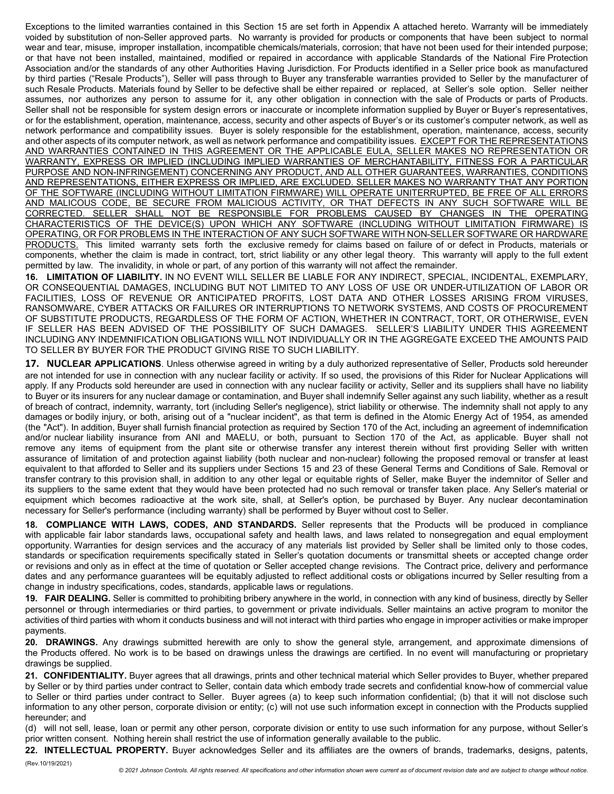Exceptions to the limited warranties contained in this Section 15 are set forth in Appendix A attached hereto. Warranty will be immediately voided by substitution of non-Seller approved parts. No warranty is provided for products or components that have been subject to normal wear and tear, misuse, improper installation, incompatible chemicals/materials, corrosion; that have not been used for their intended purpose; or that have not been installed, maintained, modified or repaired in accordance with applicable Standards of the National Fire Protection Association and/or the standards of any other Authorities Having Jurisdiction. For Products identified in a Seller price book as manufactured by third parties ("Resale Products"), Seller will pass through to Buyer any transferable warranties provided to Seller by the manufacturer of such Resale Products. Materials found by Seller to be defective shall be either repaired or replaced, at Seller's sole option. Seller neither assumes, nor authorizes any person to assume for it, any other obligation in connection with the sale of Products or parts of Products. Seller shall not be responsible for system design errors or inaccurate or incomplete information supplied by Buyer or Buyer's representatives, or for the establishment, operation, maintenance, access, security and other aspects of Buyer's or its customer's computer network, as well as network performance and compatibility issues. Buyer is solely responsible for the establishment, operation, maintenance, access, security and other aspects of its computer network, as well as network performance and compatibility issues. EXCEPT FOR THE REPRESENTATIONS AND WARRANTIES CONTAINED IN THIS AGREEMENT OR THE APPLICABLE EULA, SELLER MAKES NO REPRESENTATION OR WARRANTY, EXPRESS OR IMPLIED (INCLUDING IMPLIED WARRANTIES OF MERCHANTABILITY, FITNESS FOR A PARTICULAR PURPOSE AND NON-INFRINGEMENT) CONCERNING ANY PRODUCT, AND ALL OTHER GUARANTEES, WARRANTIES, CONDITIONS AND REPRESENTATIONS, EITHER EXPRESS OR IMPLIED, ARE EXCLUDED. SELLER MAKES NO WARRANTY THAT ANY PORTION OF THE SOFTWARE (INCLUDING WITHOUT LIMITATION FIRMWARE) WILL OPERATE UNITERRUPTED, BE FREE OF ALL ERRORS AND MALICOUS CODE, BE SECURE FROM MALICIOUS ACTIVITY, OR THAT DEFECTS IN ANY SUCH SOFTWARE WILL BE CORRECTED. SELLER SHALL NOT BE RESPONSIBLE FOR PROBLEMS CAUSED BY CHANGES IN THE OPERATING CHARACTERISTICS OF THE DEVICE(S) UPON WHICH ANY SOFTWARE (INCLUDING WITHOUT LIMITATION FIRMWARE) IS OPERATING, OR FOR PROBLEMS IN THE INTERACTION OF ANY SUCH SOFTWARE WITH NON-SELLER SOFTWARE OR HARDWARE PRODUCTS. This limited warranty sets forth the exclusive remedy for claims based on failure of or defect in Products, materials or components, whether the claim is made in contract, tort, strict liability or any other legal theory. This warranty will apply to the full extent permitted by law. The invalidity, in whole or part, of any portion of this warranty will not affect the remainder.

**16. LIMITATION OF LIABILITY.** IN NO EVENT WILL SELLER BE LIABLE FOR ANY INDIRECT, SPECIAL, INCIDENTAL, EXEMPLARY, OR CONSEQUENTIAL DAMAGES, INCLUDING BUT NOT LIMITED TO ANY LOSS OF USE OR UNDER-UTILIZATION OF LABOR OR FACILITIES, LOSS OF REVENUE OR ANTICIPATED PROFITS, LOST DATA AND OTHER LOSSES ARISING FROM VIRUSES, RANSOMWARE, CYBER ATTACKS OR FAILURES OR INTERRUPTIONS TO NETWORK SYSTEMS, AND COSTS OF PROCUREMENT OF SUBSTITUTE PRODUCTS, REGARDLESS OF THE FORM OF ACTION, WHETHER IN CONTRACT, TORT, OR OTHERWISE, EVEN IF SELLER HAS BEEN ADVISED OF THE POSSIBILITY OF SUCH DAMAGES. SELLER'S LIABILITY UNDER THIS AGREEMENT INCLUDING ANY INDEMNIFICATION OBLIGATIONS WILL NOT INDIVIDUALLY OR IN THE AGGREGATE EXCEED THE AMOUNTS PAID TO SELLER BY BUYER FOR THE PRODUCT GIVING RISE TO SUCH LIABILITY.

**17. NUCLEAR APPLICATIONS**. Unless otherwise agreed in writing by a duly authorized representative of Seller, Products sold hereunder are not intended for use in connection with any nuclear facility or activity. If so used, the provisions of this Rider for Nuclear Applications will apply. If any Products sold hereunder are used in connection with any nuclear facility or activity, Seller and its suppliers shall have no liability to Buyer or its insurers for any nuclear damage or contamination, and Buyer shall indemnify Seller against any such liability, whether as a result of breach of contract, indemnity, warranty, tort (including Seller's negligence), strict liability or otherwise. The indemnity shall not apply to any damages or bodily injury, or both, arising out of a "nuclear incident", as that term is defined in the Atomic Energy Act of 1954, as amended (the "Act"). In addition, Buyer shall furnish financial protection as required by Section 170 of the Act, including an agreement of indemnification and/or nuclear liability insurance from ANI and MAELU, or both, pursuant to Section 170 of the Act, as applicable. Buyer shall not remove any items of equipment from the plant site or otherwise transfer any interest therein without first providing Seller with written assurance of limitation of and protection against liability (both nuclear and non-nuclear) following the proposed removal or transfer at least equivalent to that afforded to Seller and its suppliers under Sections 15 and 23 of these General Terms and Conditions of Sale. Removal or transfer contrary to this provision shall, in addition to any other legal or equitable rights of Seller, make Buyer the indemnitor of Seller and its suppliers to the same extent that they would have been protected had no such removal or transfer taken place. Any Seller's material or equipment which becomes radioactive at the work site, shall, at Seller's option, be purchased by Buyer. Any nuclear decontamination necessary for Seller's performance (including warranty) shall be performed by Buyer without cost to Seller.

**18. COMPLIANCE WITH LAWS, CODES, AND STANDARDS.** Seller represents that the Products will be produced in compliance with applicable fair labor standards laws, occupational safety and health laws, and laws related to nonsegregation and equal employment opportunity. Warranties for design services and the accuracy of any materials list provided by Seller shall be limited only to those codes, standards or specification requirements specifically stated in Seller's quotation documents or transmittal sheets or accepted change order or revisions and only as in effect at the time of quotation or Seller accepted change revisions. The Contract price, delivery and performance dates and any performance guarantees will be equitably adjusted to reflect additional costs or obligations incurred by Seller resulting from a change in industry specifications, codes, standards, applicable laws or regulations.

**19. FAIR DEALING.** Seller is committed to prohibiting bribery anywhere in the world, in connection with any kind of business, directly by Seller personnel or through intermediaries or third parties, to government or private individuals. Seller maintains an active program to monitor the activities of third parties with whom it conducts business and will not interact with third parties who engage in improper activities or make improper payments.

**20. DRAWINGS.** Any drawings submitted herewith are only to show the general style, arrangement, and approximate dimensions of the Products offered. No work is to be based on drawings unless the drawings are certified. In no event will manufacturing or proprietary drawings be supplied.

**21. CONFIDENTIALITY.** Buyer agrees that all drawings, prints and other technical material which Seller provides to Buyer, whether prepared by Seller or by third parties under contract to Seller, contain data which embody trade secrets and confidential know-how of commercial value to Seller or third parties under contract to Seller. Buyer agrees (a) to keep such information confidential; (b) that it will not disclose such information to any other person, corporate division or entity; (c) will not use such information except in connection with the Products supplied hereunder; and

(d) will not sell, lease, loan or permit any other person, corporate division or entity to use such information for any purpose, without Seller's prior written consent. Nothing herein shall restrict the use of information generally available to the public.

**22. INTELLECTUAL PROPERTY.** Buyer acknowledges Seller and its affiliates are the owners of brands, trademarks, designs, patents,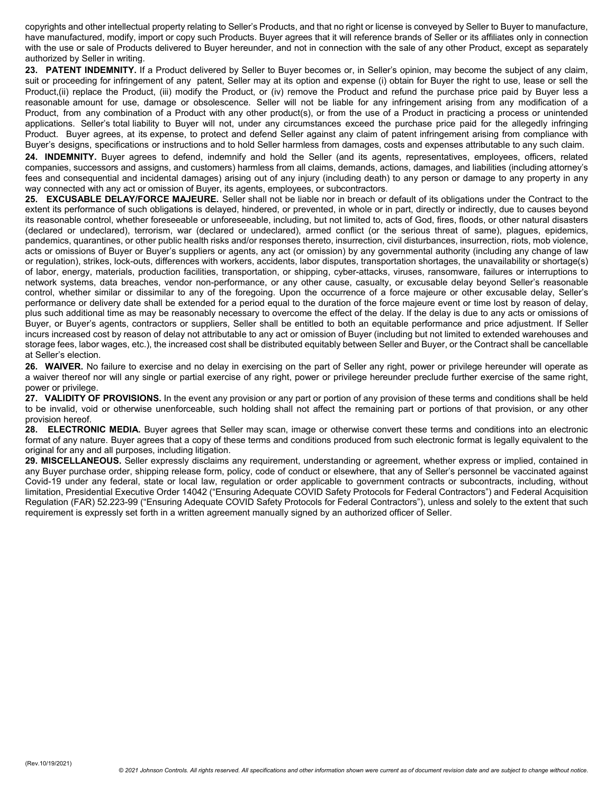copyrights and other intellectual property relating to Seller's Products, and that no right or license is conveyed by Seller to Buyer to manufacture, have manufactured, modify, import or copy such Products. Buyer agrees that it will reference brands of Seller or its affiliates only in connection with the use or sale of Products delivered to Buyer hereunder, and not in connection with the sale of any other Product, except as separately authorized by Seller in writing.

**23. PATENT INDEMNITY.** If a Product delivered by Seller to Buyer becomes or, in Seller's opinion, may become the subject of any claim, suit or proceeding for infringement of any patent, Seller may at its option and expense (i) obtain for Buyer the right to use, lease or sell the Product, (ii) replace the Product, (iii) modify the Product, or (iv) remove the Product and refund the purchase price paid by Buyer less a reasonable amount for use, damage or obsolescence. Seller will not be liable for any infringement arising from any modification of a Product, from any combination of a Product with any other product(s), or from the use of a Product in practicing a process or unintended applications. Seller's total liability to Buyer will not, under any circumstances exceed the purchase price paid for the allegedly infringing Product. Buyer agrees, at its expense, to protect and defend Seller against any claim of patent infringement arising from compliance with Buyer's designs, specifications or instructions and to hold Seller harmless from damages, costs and expenses attributable to any such claim.

**24. INDEMNITY.** Buyer agrees to defend, indemnify and hold the Seller (and its agents, representatives, employees, officers, related companies, successors and assigns, and customers) harmless from all claims, demands, actions, damages, and liabilities (including attorney's fees and consequential and incidental damages) arising out of any injury (including death) to any person or damage to any property in any way connected with any act or omission of Buyer, its agents, employees, or subcontractors.

**25. EXCUSABLE DELAY/FORCE MAJEURE.** Seller shall not be liable nor in breach or default of its obligations under the Contract to the extent its performance of such obligations is delayed, hindered, or prevented, in whole or in part, directly or indirectly, due to causes beyond its reasonable control, whether foreseeable or unforeseeable, including, but not limited to, acts of God, fires, floods, or other natural disasters (declared or undeclared), terrorism, war (declared or undeclared), armed conflict (or the serious threat of same), plagues, epidemics, pandemics, quarantines, or other public health risks and/or responses thereto, insurrection, civil disturbances, insurrection, riots, mob violence, acts or omissions of Buyer or Buyer's suppliers or agents, any act (or omission) by any governmental authority (including any change of law or regulation), strikes, lock-outs, differences with workers, accidents, labor disputes, transportation shortages, the unavailability or shortage(s) of labor, energy, materials, production facilities, transportation, or shipping, cyber-attacks, viruses, ransomware, failures or interruptions to network systems, data breaches, vendor non-performance, or any other cause, casualty, or excusable delay beyond Seller's reasonable control, whether similar or dissimilar to any of the foregoing. Upon the occurrence of a force majeure or other excusable delay, Seller's performance or delivery date shall be extended for a period equal to the duration of the force majeure event or time lost by reason of delay, plus such additional time as may be reasonably necessary to overcome the effect of the delay. If the delay is due to any acts or omissions of Buyer, or Buyer's agents, contractors or suppliers, Seller shall be entitled to both an equitable performance and price adjustment. If Seller incurs increased cost by reason of delay not attributable to any act or omission of Buyer (including but not limited to extended warehouses and storage fees, labor wages, etc.), the increased cost shall be distributed equitably between Seller and Buyer, or the Contract shall be cancellable at Seller's election.

**26. WAIVER.** No failure to exercise and no delay in exercising on the part of Seller any right, power or privilege hereunder will operate as a waiver thereof nor will any single or partial exercise of any right, power or privilege hereunder preclude further exercise of the same right, power or privilege.

**27. VALIDITY OF PROVISIONS.** In the event any provision or any part or portion of any provision of these terms and conditions shall be held to be invalid, void or otherwise unenforceable, such holding shall not affect the remaining part or portions of that provision, or any other provision hereof.

**28. ELECTRONIC MEDIA.** Buyer agrees that Seller may scan, image or otherwise convert these terms and conditions into an electronic format of any nature. Buyer agrees that a copy of these terms and conditions produced from such electronic format is legally equivalent to the original for any and all purposes, including litigation.

**29. MISCELLANEOUS.** Seller expressly disclaims any requirement, understanding or agreement, whether express or implied, contained in any Buyer purchase order, shipping release form, policy, code of conduct or elsewhere, that any of Seller's personnel be vaccinated against Covid-19 under any federal, state or local law, regulation or order applicable to government contracts or subcontracts, including, without limitation, Presidential Executive Order 14042 ("Ensuring Adequate COVID Safety Protocols for Federal Contractors") and Federal Acquisition Regulation (FAR) 52.223-99 ("Ensuring Adequate COVID Safety Protocols for Federal Contractors"), unless and solely to the extent that such requirement is expressly set forth in a written agreement manually signed by an authorized officer of Seller.